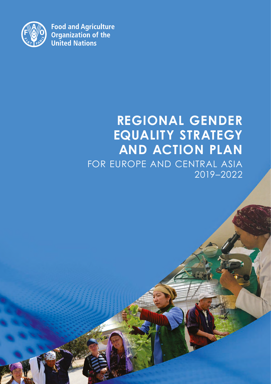

**Food and Agriculture Organization of the United Nations** 

# **REGIONAL GENDER EQUALITY STRATEGY AND ACTION PLAN** FOR EUROPE AND CENTRAL ASIA 2019–2022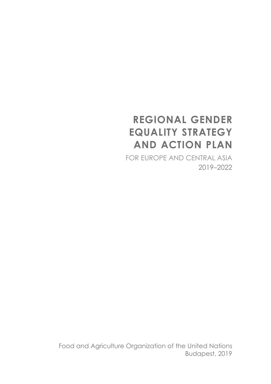# **Regional Gender Equality Strategy and Action Plan**

For Europe and Central Asia 2019–2022

Food and Agriculture Organization of the United Nations Budapest, 2019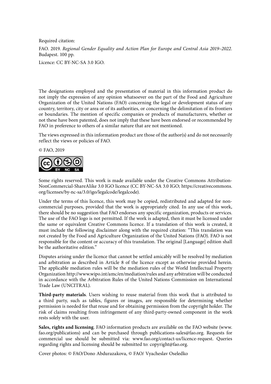Required citation:

FAO. 2019. *Regional Gender Equality and Action Plan for Europe and Central Asia 2019–2022.*  Budapest. 100 pp.

Licence: CC BY-NC-SA 3.0 IGO.

The designations employed and the presentation of material in this information product do not imply the expression of any opinion whatsoever on the part of the Food and Agriculture Organization of the United Nations (FAO) concerning the legal or development status of any country, territory, city or area or of its authorities, or concerning the delimitation of its frontiers or boundaries. The mention of specific companies or products of manufacturers, whether or not these have been patented, does not imply that these have been endorsed or recommended by FAO in preference to others of a similar nature that are not mentioned. not these have been patented, does not imply that these have been endorsed or recommended by  $\frac{1}{\sqrt{2}}$ 

The views expressed in this information product are those of the author(s) and do not necessarily reflect the views or policies of FAO. The author(s) and do not necessarily reflect the views or policies of FAO.

© FAO, 2019 © FAO, 2019



Some rights reserved. This work is made available under the Creative Commons Attribution-NonCommercial-ShareAlike 3.0 IGO licence (CC BY-NC-SA 3.0 IGO; https://creativecommons. org/licenses/by-nc-sa/3.0/igo/legalcode/legalcode). Some rights-reserved. This work is made available under the Creative Common  $\alpha$  and there should be no suggestion that  $\beta$  endomination that  $\beta$  endomination, products or services.

Under the terms of this licence, this work may be copied, redistributed and adapted for noncommercial purposes, provided that the work is appropriately cited. In any use of this work, there should be no suggestion that FAO endorses any specific organization, products or services. The use of the FAO logo is not permitted. If the work is adapted, then it must be licensed under the same or equivalent Creative Commons licence. If a translation of this work is created, it must include the following disclaimer along with the required citation: "This translation was not created by the Food and Agriculture Organization of the United Nations (FAO). FAO is not responsible for the content or accuracy of this translation. The original [Language] edition shall be the authoritative edition." commercial purposes, provided that the work is appropriately cited. In any use of this work, claims resulting from infringement of any third-party-owned component in the work rests solely with the user.

Disputes arising under the licence that cannot be settled amicably will be resolved by mediation and arbitration as described in Article 8 of the licence except as otherwise provided herein. The applicable mediation rules will be the mediation rules of the World Intellectual Property Organization http://www.wipo.int/amc/en/mediation/rules and any arbitration will be conducted in accordance with the Arbitration Rules of the United Nations Commission on International Trade Law (UNCITRAL).

**Third-party materials**. Users wishing to reuse material from this work that is attributed to a third party, such as tables, figures or images, are responsible for determining whether permission is needed for that reuse and for obtaining permission from the copyright holder. The risk of claims resulting from infringement of any third-party-owned component in the work rests solely with the user.

**Sales, rights and licensing**. FAO information products are available on the FAO website (www. fao.org/publications) and can be purchased through publications-sales@fao.org. Requests for commercial use should be submitted via: www.fao.org/contact-us/licence-request. Queries regarding rights and licensing should be submitted to: copyright@fao.org.

Cover photos: © FAO/Dono Abdurazakova, © FAO/ Vyacheslav Oseledko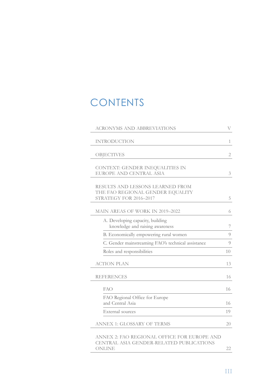# **CONTENTS**

| <b>ACRONYMS AND ABBREVIATIONS</b>                                                              | V              |
|------------------------------------------------------------------------------------------------|----------------|
| <b>INTRODUCTION</b>                                                                            | 1              |
| <b>OBJECTIVES</b>                                                                              | 2              |
| CONTEXT: GENDER INEQUALITIES IN<br>EUROPE AND CENTRAL ASIA                                     | 3              |
| RESULTS AND LESSONS LEARNED FROM<br>THE FAO REGIONAL GENDER EQUALITY<br>STRATEGY FOR 2016-2017 | 5              |
| MAIN AREAS OF WORK IN 2019-2022                                                                | 6              |
| A. Developing capacity, building<br>knowledge and raising awareness                            | 7              |
| B. Economically empowering rural women                                                         | 9              |
| C. Gender mainstreaming FAO's technical assistance                                             | $\overline{9}$ |
| Roles and responsibilities                                                                     | 10             |
| <b>ACTION PLAN</b>                                                                             | 13             |
| <b>REFERENCES</b>                                                                              | 16             |
| <b>FAO</b>                                                                                     | 16             |
| FAO Regional Office for Europe<br>and Central Asia                                             | 16             |
| External sources                                                                               | 19             |
| <b>ANNEX 1: GLOSSARY OF TERMS</b>                                                              | 20             |

[online](#page-29-0) 22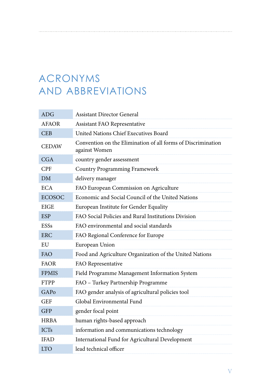# <span id="page-6-0"></span>Acronyms and abbreviations

| <b>ADG</b>                                                        | <b>Assistant Director General</b>                                             |  |  |
|-------------------------------------------------------------------|-------------------------------------------------------------------------------|--|--|
| <b>AFAOR</b>                                                      | <b>Assistant FAO Representative</b>                                           |  |  |
| <b>CEB</b>                                                        | <b>United Nations Chief Executives Board</b>                                  |  |  |
| <b>CEDAW</b>                                                      | Convention on the Elimination of all forms of Discrimination<br>against Women |  |  |
| CGA                                                               | country gender assessment                                                     |  |  |
| <b>CPF</b>                                                        | <b>Country Programming Framework</b>                                          |  |  |
| <b>DM</b>                                                         | delivery manager                                                              |  |  |
| <b>ECA</b>                                                        | FAO European Commission on Agriculture                                        |  |  |
| <b>ECOSOC</b>                                                     | Economic and Social Council of the United Nations                             |  |  |
| <b>EIGE</b>                                                       | European Institute for Gender Equality                                        |  |  |
| <b>ESP</b><br>FAO Social Policies and Rural Institutions Division |                                                                               |  |  |
| <b>ESSs</b>                                                       | FAO environmental and social standards                                        |  |  |
| <b>ERC</b>                                                        | FAO Regional Conference for Europe                                            |  |  |
| EU                                                                | European Union                                                                |  |  |
| FAO                                                               | Food and Agriculture Organization of the United Nations                       |  |  |
| <b>FAOR</b>                                                       | FAO Representative                                                            |  |  |
| <b>FPMIS</b>                                                      | Field Programme Management Information System                                 |  |  |
| <b>FTPP</b>                                                       | FAO - Turkey Partnership Programme                                            |  |  |
| GAPo                                                              | FAO gender analysis of agricultural policies tool                             |  |  |
| <b>GEF</b>                                                        | Global Environmental Fund                                                     |  |  |
| <b>GFP</b>                                                        | gender focal point                                                            |  |  |
| <b>HRBA</b>                                                       | human rights-based approach                                                   |  |  |
| <b>ICTs</b>                                                       | information and communications technology                                     |  |  |
| International Fund for Agricultural Development<br><b>IFAD</b>    |                                                                               |  |  |
|                                                                   |                                                                               |  |  |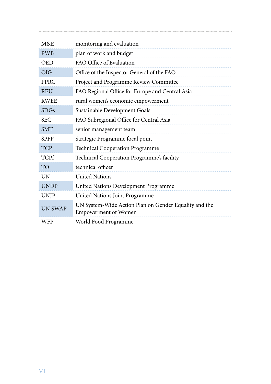| M&E                                                                                                                                                                                                   | monitoring and evaluation                                                            |             |                                      |
|-------------------------------------------------------------------------------------------------------------------------------------------------------------------------------------------------------|--------------------------------------------------------------------------------------|-------------|--------------------------------------|
| <b>PWB</b>                                                                                                                                                                                            | plan of work and budget                                                              |             |                                      |
| <b>OED</b>                                                                                                                                                                                            | FAO Office of Evaluation                                                             |             |                                      |
| <b>OIG</b>                                                                                                                                                                                            | Office of the Inspector General of the FAO                                           |             |                                      |
| <b>PPRC</b>                                                                                                                                                                                           | Project and Programme Review Committee                                               |             |                                      |
| FAO Regional Office for Europe and Central Asia<br><b>REU</b>                                                                                                                                         |                                                                                      |             |                                      |
| <b>RWEE</b><br>rural women's economic empowerment                                                                                                                                                     |                                                                                      |             |                                      |
| <b>SDGs</b>                                                                                                                                                                                           | Sustainable Development Goals                                                        |             |                                      |
| FAO Subregional Office for Central Asia<br><b>SEC</b>                                                                                                                                                 |                                                                                      |             |                                      |
| <b>SMT</b>                                                                                                                                                                                            | senior management team                                                               |             |                                      |
| <b>SPFP</b><br>Strategic Programme focal point<br><b>TCP</b><br><b>Technical Cooperation Programme</b><br><b>TCPf</b><br>Technical Cooperation Programme's facility<br><b>TO</b><br>technical officer |                                                                                      |             |                                      |
|                                                                                                                                                                                                       |                                                                                      | <b>UN</b>   | <b>United Nations</b>                |
|                                                                                                                                                                                                       |                                                                                      | <b>UNDP</b> | United Nations Development Programme |
|                                                                                                                                                                                                       |                                                                                      | <b>UNJP</b> | United Nations Joint Programme       |
| <b>UN SWAP</b>                                                                                                                                                                                        | UN System-Wide Action Plan on Gender Equality and the<br><b>Empowerment of Women</b> |             |                                      |
| <b>WFP</b>                                                                                                                                                                                            | World Food Programme                                                                 |             |                                      |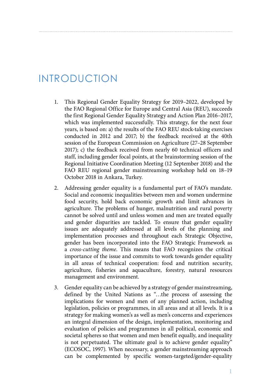### <span id="page-8-0"></span>Introduction

- 1. This Regional Gender Equality Strategy for 2019–2022, developed by the FAO Regional Office for Europe and Central Asia (REU), succeeds the first Regional Gender Equality Strategy and Action Plan 2016–2017, which was implemented successfully. This strategy, for the next four years, is based on: a) the results of the FAO REU stock-taking exercises conducted in 2012 and 2017; b) the feedback received at the 40th session of the European Commission on Agriculture (27–28 September 2017); c) the feedback received from nearly 60 technical officers and staff, including gender focal points, at the brainstorming session of the Regional Initiative Coordination Meeting (12 September 2018) and the FAO REU regional gender mainstreaming workshop held on 18–19 October 2018 in Ankara, Turkey.
- 2. Addressing gender equality is a fundamental part of FAO's mandate. Social and economic inequalities between men and women undermine food security, hold back economic growth and limit advances in agriculture. The problems of hunger, malnutrition and rural poverty cannot be solved until and unless women and men are treated equally and gender disparities are tackled. To ensure that gender equality issues are adequately addressed at all levels of the planning and implementation processes and throughout each Strategic Objective, gender has been incorporated into the FAO Strategic Framework as a *cross-cutting theme*. This means that FAO recognizes the critical importance of the issue and commits to work towards gender equality in all areas of technical cooperation: food and nutrition security, agriculture, fisheries and aquaculture, forestry, natural resources management and environment.
- 3. Gender equality can be achieved by a strategy of gender mainstreaming, defined by the United Nations as "…the process of assessing the implications for women and men of any planned action, including legislation, policies or programmes, in all areas and at all levels. It is a strategy for making women's as well as men's concerns and experiences an integral dimension of the design, implementation, monitoring and evaluation of policies and programmes in all political, economic and societal spheres so that women and men benefit equally, and inequality is not perpetuated. The ultimate goal is to achieve gender equality" (ECOSOC, 1997). When necessary, a gender mainstreaming approach can be complemented by specific women-targeted/gender-equality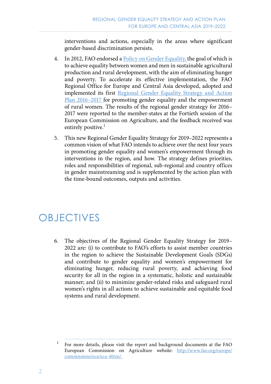<span id="page-9-0"></span>interventions and actions, especially in the areas where significant gender-based discrimination persists.

- 4. In 2012, FAO endorsed a [Policy on Gender Equality,](http://www.fao.org/docrep/017/i3205e/i3205e.pdf) the goal of which is to achieve equality between women and men in sustainable agricultural production and rural development, with the aim of eliminating hunger and poverty. To accelerate its effective implementation, the FAO Regional Office for Europe and Central Asia developed, adopted and implemented its first [Regional Gender Equality Strategy and Action](http://www.fao.org/3/a-i5501e.pdf) [Plan 2016–2017](http://www.fao.org/3/a-i5501e.pdf) for promoting gender equality and the empowerment of rural women*.* The results of the regional gender strategy for 2016– 2017 were reported to the member-states at the Fortieth session of the European Commission on Agriculture, and the feedback received was entirely positive. $<sup>1</sup>$ </sup>
- 5. This new Regional Gender Equality Strategy for 2019–2022 represents a common vision of what FAO intends to achieve over the next four years in promoting gender equality and women's empowerment through its interventions in the region, and how. The strategy defines priorities, roles and responsibilities of regional, sub-regional and country offices in gender mainstreaming and is supplemented by the action plan with the time-bound outcomes, outputs and activities.

## **OBJECTIVES**

6. The objectives of the Regional Gender Equality Strategy for 2019– 2022 are: (i) to contribute to FAO's efforts to assist member countries in the region to achieve the Sustainable Development Goals (SDGs) and contribute to gender equality and women's empowerment for eliminating hunger, reducing rural poverty, and achieving food security for all in the region in a systematic, holistic and sustainable manner; and (ii) to minimize gender-related risks and safeguard rural women's rights in all actions to achieve sustainable and equitable food systems and rural development.

 $1$  For more details, please visit the report and background documents at the FAO European Commission on Agriculture website: [http://www.fao.org/europe/](http://www.fao.org/europe/commissions/eca/eca-40/en/) [commissions/eca/eca-40/en/](http://www.fao.org/europe/commissions/eca/eca-40/en/)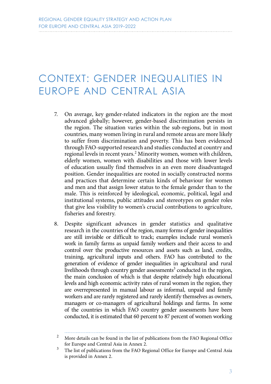# <span id="page-10-0"></span>Context: gender inequalities in Europe and Central Asia

- 7. On average, key gender-related indicators in the region are the most advanced globally; however, gender-based discrimination persists in the region. The situation varies within the sub-regions, but in most countries, many women living in rural and remote areas are more likely to suffer from discrimination and poverty. This has been evidenced through FAO-supported research and studies conducted at country and regional levels in recent years.<sup>2</sup> Minority women, women with children, elderly women, women with disabilities and those with lower levels of education usually find themselves in an even more disadvantaged position. Gender inequalities are rooted in socially constructed norms and practices that determine certain kinds of behaviour for women and men and that assign lower status to the female gender than to the male. This is reinforced by ideological, economic, political, legal and institutional systems, public attitudes and stereotypes on gender roles that give less visibility to women's crucial contributions to agriculture, fisheries and forestry.
- 8. Despite significant advances in gender statistics and qualitative research in the countries of the region, many forms of gender inequalities are still invisible or difficult to track; examples include rural women's work in family farms as unpaid family workers and their access to and control over the productive resources and assets such as land, credits, training, agricultural inputs and others. FAO has contributed to the generation of evidence of gender inequalities in agricultural and rural livelihoods through country gender assessments<sup>3</sup> conducted in the region, the main conclusion of which is that despite relatively high educational levels and high economic activity rates of rural women in the region, they are overrepresented in manual labour as informal, unpaid and family workers and are rarely registered and rarely identify themselves as owners, managers or co-managers of agricultural holdings and farms. In some of the countries in which FAO country gender assessments have been conducted, it is estimated that 60 percent to 87 percent of women working

<sup>&</sup>lt;sup>2</sup> More details can be found in the list of publications from the FAO Regional Office for Europe and Central Asia in Annex 2.

<sup>&</sup>lt;sup>3</sup> The list of publications from the FAO Regional Office for Europe and Central Asia is provided in Annex 2.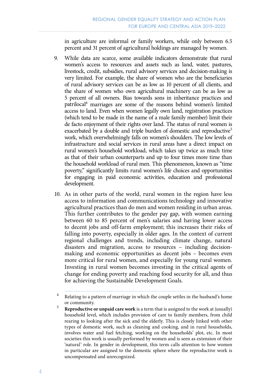in agriculture are informal or family workers, while only between 6.5 percent and 31 percent of agricultural holdings are managed by women.

- 9. While data are scarce, some available indicators demonstrate that rural women's access to resources and assets such as land, water, pastures, livestock, credit, subsidies, rural advisory services and decision-making is very limited. For example, the share of women who are the beneficiaries of rural advisory services can be as low as 10 percent of all clients, and the share of women who own agricultural machinery can be as low as 5 percent of all owners. Bias towards sons in inheritance practices and patrilocal<sup>4</sup> marriages are some of the reasons behind women's limited access to land. Even when women legally own land, registration practices (which tend to be made in the name of a male family member) limit their de facto enjoyment of their rights over land. The status of rural women is exacerbated by a double and triple burden of domestic and reproductive<sup>5</sup> work, which overwhelmingly falls on women's shoulders. The low levels of infrastructure and social services in rural areas have a direct impact on rural women's household workload, which takes up twice as much time as that of their urban counterparts and up to four times more time than the household workload of rural men. This phenomenon, known as "time poverty," significantly limits rural women's life choices and opportunities for engaging in paid economic activities, education and professional development.
- 10. As in other parts of the world, rural women in the region have less access to information and communications technology and innovative agricultural practices than do men and women residing in urban areas. This further contributes to the gender pay gap, with women earning between 60 to 85 percent of men's salaries and having lower access to decent jobs and off-farm employment; this increases their risks of falling into poverty, especially in older ages. In the context of current regional challenges and trends, including climate change, natural disasters and migration, access to resources – including decisionmaking and economic opportunities as decent jobs – becomes even more critical for rural women, and especially for young rural women. Investing in rural women becomes investing in the critical agents of change for ending poverty and reaching food security for all, and thus for achieving the Sustainable Development Goals.

<sup>4</sup> Relating to a pattern of marriage in which the couple settles in the husband's home or community.

<sup>5</sup> **Reproductive or unpaid care work** is a term that is assigned to the work at (usually) household level, which includes provision of care to family members, from child rearing to looking after the sick and the elderly. This is closely linked with other types of domestic work, such as cleaning and cooking, and in rural households, involves water and fuel fetching, working on the households' plot, etc. In most societies this work is usually performed by women and is seen as extension of their 'natural' role. In gender in development, this term calls attention to how women in particular are assigned to the domestic sphere where the reproductive work is uncompensated and unrecognized.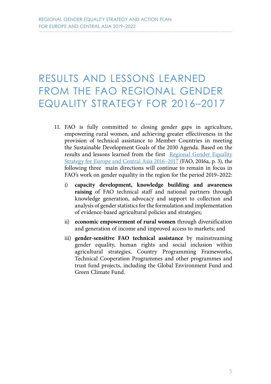# <span id="page-12-0"></span>Results and lessons learned from the FAO Regional Gender Equality Strategy for 2016–2017

- 11. FAO is fully committed to closing gender gaps in agriculture, empowering rural women, and achieving greater effectiveness in the provision of technical assistance to Member Countries in meeting the Sustainable Development Goals of the 2030 Agenda. Based on the results and lessons learned from the first [Regional Gender Equality](http://www.fao.org/3/a-i5501e.pdf) [Strategy for Europe and Central Asia 2016–2017](http://www.fao.org/3/a-i5501e.pdf) (FAO, 2016a, p. 3), the following three main directions will continue to remain in focus in FAO's work on gender equality in the region for the period 2019–2022:
	- i) **capacity development, knowledge building and awareness raising** of FAO technical staff and national partners through knowledge generation, advocacy and support to collection and analysis of gender statistics for the formulation and implementation of evidence-based agricultural policies and strategies;
	- ii) **economic empowerment of rural women** through diversification and generation of income and improved access to markets; and
	- iii) **gender-sensitive FAO technical assistance** by mainstreaming gender equality, human rights and social inclusion within agricultural strategies, Country Programming Frameworks, Technical Cooperation Programmes and other programmes and trust fund projects, including the Global Environment Fund and Green Climate Fund.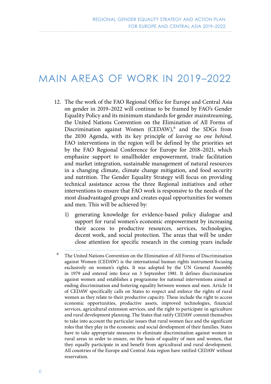## <span id="page-13-0"></span>Main areas of work in 2019–2022

- 12. The the work of the FAO Regional Office for Europe and Central Asia on gender in 2019–2022 will continue to be framed by FAO's Gender Equality Policy and its minimum standards for gender mainstreaming, the United Nations Convention on the Elimination of All Forms of Discrimination against Women (CEDAW),<sup>6</sup> and the SDGs from the 2030 Agenda, with its key principle of *leaving no one behind*. FAO interventions in the region will be defined by the priorities set by the FAO Regional Conference for Europe for 2018–2021, which emphasize support to smallholder empowerment, trade facilitation and market integration, sustainable management of natural resources in a changing climate, climate change mitigation, and food security and nutrition. The Gender Equality Strategy will focus on providing technical assistance across the three Regional initiatives and other interventions to ensure that FAO work is responsive to the needs of the most disadvantaged groups and creates equal opportunities for women and men. This will be achieved by:
	- 1) generating knowledge for evidence-based policy dialogue and support for rural women's economic empowerment by increasing their access to productive resources, services, technologies, decent work, and social protection. The areas that will be under close attention for specific research in the coming years include
- <sup>6</sup> The United Nations Convention on the Elimination of All Forms of Discrimination against Women (CEDAW) is the international human rights instrument focusing exclusively on women's rights. It was adopted by the UN General Assembly in 1979 and entered into force on 3 September 1981. It defines discrimination against women and establishes a programme for national interventions aimed at ending discrimination and fostering equality between women and men. Article 14 of CEDAW specifically calls on States to respect and enforce the rights of rural women as they relate to their productive capacity. These include the right to access economic opportunities, productive assets, improved technologies, financial services, agricultural extension services, and the right to participate in agriculture and rural development planning. The States that ratify CEDAW commit themselves to take into account the particular issues that rural women face and the significant roles that they play in the economic and social development of their families. States have to take appropriate measures to eliminate discrimination against women in rural areas in order to ensure, on the basis of equality of men and women, that they equally participate in and benefit from agricultural and rural development. All countries of the Europe and Central Asia region have ratified CEDAW without reservation.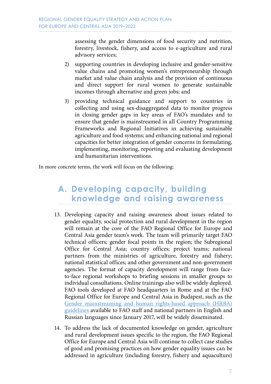<span id="page-14-0"></span>assessing the gender dimensions of food security and nutrition, forestry, livestock, fishery, and access to e-agriculture and rural advisory services;

- 2) supporting countries in developing inclusive and gender-sensitive value chains and promoting women's entrepreneurship through market and value chain analysis and the provision of continuous and direct support for rural women to generate sustainable incomes through alternative and green jobs; and
- 3) providing technical guidance and support to countries in collecting and using sex-disaggregated data to monitor progress in closing gender gaps in key areas of FAO's mandates and to ensure that gender is mainstreamed in all Country Programming Frameworks and Regional Initiatives in achieving sustainable agriculture and food systems; and enhancing national and regional capacities for better integration of gender concerns in formulating, implementing, monitoring, reporting and evaluating development and humanitarian interventions.

In more concrete terms, the work will focus on the following:

### **A. Developing capacity, building knowledge and raising awareness**

- 13. Developing capacity and raising awareness about issues related to gender equality, social protection and rural development in the region will remain at the core of the FAO Regional Office for Europe and Central Asia gender team's work. The team will primarily target FAO technical officers; gender focal points in the region; the Subregional Office for Central Asia; country offices; project teams; national partners from the ministries of agriculture, forestry and fishery; national statistical offices; and other government and non-government agencies. The format of capacity development will range from faceto-face regional workshops to briefing sessions in smaller groups to individual consultations. Online trainings also will be widely deployed. FAO tools developed at FAO headquarters in Rome and at the FAO Regional Office for Europe and Central Asia in Budapest, such as the [Gender mainstreaming and human rights-based approach \(HRBA\)](http://www.fao.org/3/a-i6808e.pdf) [guidelines](http://www.fao.org/3/a-i6808e.pdf) available to FAO staff and national partners in English and Russian languages since January 2017, will be widely disseminated.
- 14. To address the lack of documented knowledge on gender, agriculture and rural development issues specific to the region, the FAO Regional Office for Europe and Central Asia will continue to collect case studies of good and promising practices on how gender equality issues can be addressed in agriculture (including forestry, fishery and aquaculture)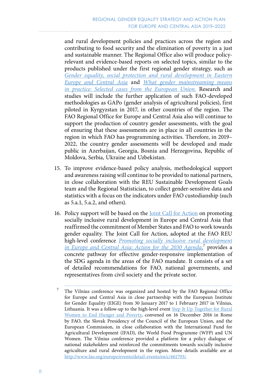and rural development policies and practices across the region and contributing to food security and the elimination of poverty in a just and sustainable manner. The Regional Office also will produce policyrelevant and evidence-based reports on selected topics, similar to the products published under the first regional gender strategy, such as *[Gender equality, social protection and rural development in Eastern](http://www.fao.org/publications/card/en/c/4f81a152-615a-45df-8be9-2fd722cbcca1/) [Europe and Central Asia](http://www.fao.org/publications/card/en/c/4f81a152-615a-45df-8be9-2fd722cbcca1/)* and *[What gender mainstreaming means](http://www.fao.org/3/I8958EN/i8958en.pdf) [in practice: Selected cases from the European Union.](http://www.fao.org/3/I8958EN/i8958en.pdf)* Research and studies will include the further application of such FAO-developed methodologies as GAPo (gender analysis of agricultural policies), first piloted in Kyrgyzstan in 2017, in other countries of the region. The FAO Regional Office for Europe and Central Asia also will continue to support the production of country gender assessments, with the goal of ensuring that these assessments are in place in all countries in the region in which FAO has programming activities. Therefore, in 2019– 2022, the country gender assessments will be developed and made public in Azerbaijan, Georgia, Bosnia and Herzegovina, Republic of Moldova, Serbia, Ukraine and Uzbekistan.

- 15. To improve evidence-based policy analysis, methodological support and awareness raising will continue to be provided to national partners, in close collaboration with the REU Sustainable Development Goals team and the Regional Statistician, to collect gender-sensitive data and statistics with a focus on the indicators under FAO custodianship (such as 5.a.1, 5.a.2, and others).
- 16. Policy support will be based on the [Joint Call for Action](http://www.fao.org/3/a-i7020e.pdf) on promoting socially inclusive rural development in Europe and Central Asia that reaffirmed the commitment of Member States and FAO to work towards gender equality. The Joint Call for Action, adopted at the FAO REU high-level conference *[Promoting socially inclusive rural development](http://www.fao.org/europe/events/detail-events/en/c/461793/) [in Europe and Central Asia: Action for the 2030 Agenda,](http://www.fao.org/europe/events/detail-events/en/c/461793/)*<sup>7</sup> provides a concrete pathway for effective gender-responsive implementation of the SDG agenda in the areas of the FAO mandate. It consists of a set of detailed recommendations for FAO, national governments, and representatives from civil society and the private sector.

 $7$  The Vilnius conference was organized and hosted by the FAO Regional Office for Europe and Central Asia in close partnership with the European Institute for Gender Equality (EIGE) from 30 January 2017 to 1 February 2017 in Vilnius, Lithuania. It was a follow-up to the high-level event [Step It Up Together for Rural](http://www.fao.org/about/meetings/rural-women-end-hunger/en/) [Women to End Hunger and Poverty](http://www.fao.org/about/meetings/rural-women-end-hunger/en/), convened on 16 December 2016 in Rome by FAO, the Slovak Presidency of the Council of the European Union, and the European Commission, in close collaboration with the International Fund for Agricultural Development (IFAD), the World Food Programme (WFP) and UN Women. The Vilnius conference provided a platform for a policy dialogue of national stakeholders and reinforced the commitments towards socially inclusive agriculture and rural development in the region. More details available are at <http://www.fao.org/europe/events/detail-events/en/c/461793/>.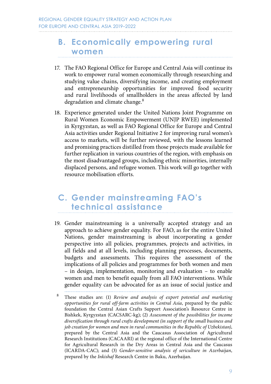#### <span id="page-16-0"></span>**B. Economically empowering rural women**

- 17. The FAO Regional Office for Europe and Central Asia will continue its work to empower rural women economically through researching and studying value chains, diversifying income, and creating employment and entrepreneurship opportunities for improved food security and rural livelihoods of smallholders in the areas affected by land degradation and climate change.<sup>8</sup>
- 18. Experience generated under the United Nations Joint Programme on Rural Women Economic Empowerment (UNJP RWEE) implemented in Kyrgyzstan, as well as FAO Regional Office for Europe and Central Asia activities under Regional Initiative 2 for improving rural women's access to markets, will be further reviewed, with the lessons learned and promising practices distilled from those projects made available for further replication in various countries of the region, with emphasis on the most disadvantaged groups, including ethnic minorities, internally displaced persons, and refugee women. This work will go together with resource mobilisation efforts.

### **C. Gender mainstreaming FAO's technical assistance**

- 19. Gender mainstreaming is a universally accepted strategy and an approach to achieve gender equality. For FAO, as for the entire United Nations, gender mainstreaming is about incorporating a gender perspective into all policies, programmes, projects and activities, in all fields and at all levels, including planning processes, documents, budgets and assessments. This requires the assessment of the implications of all policies and programmes for both women and men – in design, implementation, monitoring and evaluation – to enable women and men to benefit equally from all FAO interventions. While gender equality can be advocated for as an issue of social justice and
- <sup>8</sup> These studies are: (1) *Review and analysis of export potential and marketing opportunities for rural off-farm activities in Central Asia*, prepared by the public foundation the Central Asian Crafts Support Association's Resource Centre in Bishkek, Kyrgyzstan (CACSARC-kg); (2) *Assessment of the possibilities for income diversification through rural crafts development (in support of the small business and job creation for women and men in rural communities in the Republic of Uzbekistan)*, prepared by the Central Asia and the Caucasus Association of Agricultural Research Institutions (CACAARI) at the regional office of the International Centre for Agricultural Research in the Dry Areas in Central Asia and the Caucasus (ICARDA-CAC); and (3) *Gender-sensitive analysis of sericulture in Azerbaijan*, prepared by the *Inkishaf* Research Centre in Baku, Azerbaijan.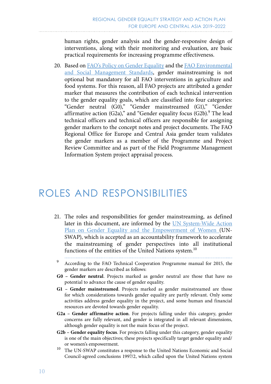<span id="page-17-0"></span>human rights, gender analysis and the gender-responsive design of interventions, along with their monitoring and evaluation, are basic practical requirements for increasing programme effectiveness.

20. Based on [FAO's Policy on Gender Equality](http://www.fao.org/docrep/017/i3205e/i3205e.pdf) and the [FAO Environmental](http://www.fao.org/3/a-i4413e.pdf) [and Social Management Standards](http://www.fao.org/3/a-i4413e.pdf), gender mainstreaming is not optional but mandatory for all FAO interventions in agriculture and food systems. For this reason, all FAO projects are attributed a gender marker that measures the contribution of each technical intervention to the gender equality goals, which are classified into four categories: "Gender neutral (G0)," "Gender mainstreamed (G1)," "Gender affirmative action (G2a)," and "Gender equality focus (G2b).<sup>9</sup> The lead technical officers and technical officers are responsible for assigning gender markers to the concept notes and project documents. The FAO Regional Office for Europe and Central Asia gender team validates the gender markers as a member of the Programme and Project Review Committee and as part of the Field Programme Management Information System project appraisal process.

## Roles and responsibilities

- 21. The roles and responsibilities for gender mainstreaming, as defined later in this document, are informed by the [UN System-Wide Action](https://www.unsystem.org/content/un-system-wide-action-plan-gender-equality-and-empowerment-women-swap) [Plan on Gender Equality and the Empowerment of Women](https://www.unsystem.org/content/un-system-wide-action-plan-gender-equality-and-empowerment-women-swap) (UN-SWAP), which is accepted as an accountability framework to accelerate the mainstreaming of gender perspectives into all institutional functions of the entities of the United Nations system.<sup>10</sup>
	-
	- <sup>9</sup> According to the FAO Technical Cooperation Programme manual for 2015, the gender markers are described as follows:
- **G0 Gender neutral**. Projects marked as gender neutral are those that have no potential to advance the cause of gender equality.
- **G1 Gender mainstreamed**. Projects marked as gender mainstreamed are those for which considerations towards gender equality are partly relevant. Only some activities address gender equality in the project, and some human and financial resources are devoted towards gender equality.
- **G2a Gender affirmative action**. For projects falling under this category, gender concerns are fully relevant, and gender is integrated in all relevant dimensions, although gender equality is not the main focus of the project.
- **G2b Gender equality focus**. For projects falling under this category, gender equality is one of the main objectives; these projects specifically target gender equality and/ or women's empowerment.
- <sup>10</sup> The UN-SWAP constitutes a response to the United Nations Economic and Social Council-agreed conclusions 1997/2, which called upon the United Nations system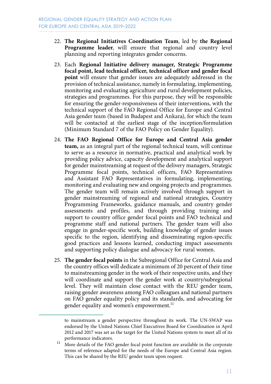- 22. **The Regional Initiatives Coordination Team**, led by **the Regional Programme leader**, will ensure that regional and country level planning and reporting integrates gender concerns.
- 23. Each **Regional Initiative delivery manager, Strategic Programme focal point, lead technical officer, technical officer and gender focal point** will ensure that gender issues are adequately addressed in the provision of technical assistance, namely in formulating, implementing, monitoring and evaluating agriculture and rural development policies, strategies and programmes. For this purpose, they will be responsible for ensuring the gender-responsiveness of their interventions, with the technical support of the FAO Regional Office for Europe and Central Asia gender team (based in Budapest and Ankara), for which the team will be contacted at the earliest stage of the inception/formulation (Minimum Standard 7 of the FAO Policy on Gender Equality).
- 24. **The FAO Regional Office for Europe and Central Asia gender team,** as an integral part of the regional technical team, will continue to serve as a resource in normative, practical and analytical work by providing policy advice, capacity development and analytical support for gender mainstreaming at request of the delivery managers, Strategic Programme focal points, technical officers, FAO Representatives and Assistant FAO Representatives in formulating, implementing, monitoring and evaluating new and ongoing projects and programmes. The gender team will remain actively involved through support in gender mainstreaming of regional and national strategies, Country Programming Frameworks, guidance manuals, and country gender assessments and profiles, and through providing training and support to country office gender focal points and FAO technical and programme staff and national partners. The gender team will also engage in gender-specific work, building knowledge of gender issues specific to the region, identifying and disseminating region-specific good practices and lessons learned, conducting impact assessments and supporting policy dialogue and advocacy for rural women.
- 25. **The gender focal points** in the Subregional Office for Central Asia and the country offices will dedicate a minimum of 20 percent of their time to mainstreaming gender in the work of their respective units, and they will coordinate and support the gender work at country/subregional level. They will maintain close contact with the REU gender team, raising gender awareness among FAO colleagues and national partners on FAO gender equality policy and its standards, and advocating for gender equality and women's empowerment.<sup>11</sup>

to mainstream a gender perspective throughout its work. The UN-SWAP was endorsed by the United Nations Chief Executives Board for Coordination in April 2012 and 2017 was set as the target for the United Nations system to meet all of its performance indicators.

<sup>&</sup>lt;sup>11</sup> More details of the FAO gender focal point function are available in the corporate terms of reference adapted for the needs of the Europe and Central Asia region. This can be shared by the REU gender team upon request.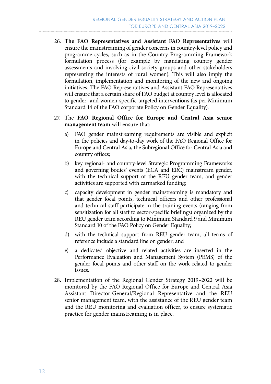26. **The FAO Representatives and Assistant FAO Representatives** will ensure the mainstreaming of gender concerns in country-level policy and programme cycles, such as in the Country Programming Framework formulation process (for example by mandating country gender assessments and involving civil society groups and other stakeholders representing the interests of rural women). This will also imply the formulation, implementation and monitoring of the new and ongoing initiatives. The FAO Representatives and Assistant FAO Representatives will ensure that a certain share of FAO budget at country level is allocated to gender- and women-specific targeted interventions (as per Minimum Standard 14 of the FAO corporate Policy on Gender Equality).

#### 27. The **FAO Regional Office for Europe and Central Asia senior management team** will ensure that:

- a) FAO gender mainstreaming requirements are visible and explicit in the policies and day-to-day work of the FAO Regional Office for Europe and Central Asia, the Subregional Office for Central Asia and country offices;
- b) key regional- and country-level Strategic Programming Frameworks and governing bodies' events (ECA and ERC) mainstream gender, with the technical support of the REU gender team, and gender activities are supported with earmarked funding;
- c) capacity development in gender mainstreaming is mandatory and that gender focal points, technical officers and other professional and technical staff participate in the training events (ranging from sensitization for all staff to sector-specific briefings) organized by the REU gender team according to Minimum Standard 9 and Minimum Standard 10 of the FAO Policy on Gender Equality;
- d) with the technical support from REU gender team, all terms of reference include a standard line on gender; and
- e) a dedicated objective and related activities are inserted in the Performance Evaluation and Management System (PEMS) of the gender focal points and other staff on the work related to gender issues.
- 28. Implementation of the Regional Gender Strategy 2019–2022 will be monitored by the FAO Regional Office for Europe and Central Asia Assistant Director-General/Regional Representative and the REU senior management team, with the assistance of the REU gender team and the REU monitoring and evaluation officer, to ensure systematic practice for gender mainstreaming is in place.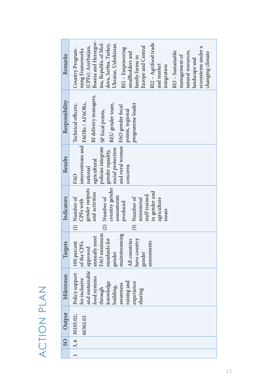| $\overline{\blacktriangle}$<br>Г |  |
|----------------------------------|--|
| <u> വ</u>                        |  |
|                                  |  |
| 53                               |  |
| ŗ.                               |  |
| ٢                                |  |

<span id="page-20-0"></span>

| Remarks                | Bosnia and Herzegov-<br>ina, Republic of Mol-<br>RI2 - Agrifood trade<br>dova, Serbia, Turkey,<br>Ukraine, Uzbekistan<br>(CPFs): Azerbaijan,<br>Europe and Central<br>ecosystems under a<br>RI1 - Empowering<br>Country Program-<br>ming Frameworks<br>natural resources,<br>RI3 - Sustainable<br>changing climate<br>smallholders and<br>management of<br>family farms in<br>landscape and<br>and market<br>integration |
|------------------------|--------------------------------------------------------------------------------------------------------------------------------------------------------------------------------------------------------------------------------------------------------------------------------------------------------------------------------------------------------------------------------------------------------------------------|
| Responsibility         | RI delivery managers,<br>interventions and EAORs / AFAORs,<br>programme leader<br>REU gender team,<br>Technical officers,<br>points, regional                                                                                                                                                                                                                                                                            |
| Results                | and rural women FAO gender focal<br>policies integrate SP focal points,<br>social protection<br>gender equality,<br>agricultural<br>concerns<br>national<br>FAO                                                                                                                                                                                                                                                          |
| Indicators             | country gender<br>gender outputs<br>in gender and<br>and activities<br>staff trained<br>assessments<br>(2) Number of<br>(3) Number of<br>agriculture<br>(1) Number of<br>ministerial<br>CPFs with<br>produced<br>issues                                                                                                                                                                                                  |
| Targets                | FAO minimum<br>mainstreaming<br>annually meet<br>standards for<br>have country<br>All countries<br>assessments<br>100 percent<br>of the CPFs<br>gender<br>gender                                                                                                                                                                                                                                                         |
| Milestones             | and sustainable approved<br>Policy support<br>food systems<br>for inclusive<br>knowledge<br>raising and<br>experience<br>awareness<br>building,<br>through<br>sharing                                                                                                                                                                                                                                                    |
| Output                 | $3, 6$ 30105.02;<br>60302.03                                                                                                                                                                                                                                                                                                                                                                                             |
| $\overline{\text{SO}}$ |                                                                                                                                                                                                                                                                                                                                                                                                                          |
|                        |                                                                                                                                                                                                                                                                                                                                                                                                                          |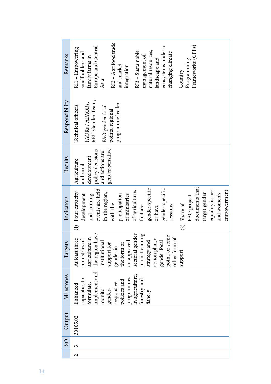| Remarks               | RI2 - Agrifood trade<br>Frameworks (CPFs)<br>Europe and Central<br>ecosystems under a<br>RI1 - Empowering<br>natural resources,<br>RI3 - Sustainable<br>changing climate<br>smallholders and<br>management of<br>family farms in<br>Programming<br>landscape and<br>and market<br>integration<br>Country<br>Asia                                   |
|-----------------------|----------------------------------------------------------------------------------------------------------------------------------------------------------------------------------------------------------------------------------------------------------------------------------------------------------------------------------------------------|
| Responsibility        | REU Gender Team,<br>FAORS / AFAORS,<br>programme leader<br>Technical officers,<br>FAO gender focal<br>points, regional                                                                                                                                                                                                                             |
| Results               | gender-sensitive<br>policy decisions<br>and actions are<br>development<br>Agriculture<br>and rural                                                                                                                                                                                                                                                 |
| Indicators            | documents that<br>gender-specific<br>events are held<br>gender-specific<br>equality issues<br>of agriculture,<br>empowerment<br>(1) Four capacity<br>in the region,<br>target gender<br>and women's<br>and training<br>development<br>participation<br>of ministries<br>FAO project<br>with the<br>(2) Share of<br>sessions<br>that are<br>or have |
| Targets               | the region have<br>sectoral gender<br>mainstreaming<br>point, or some<br>agriculture in<br>other form of<br>At least three<br>action plan, a<br>ministries of<br>strategy and<br>gender focal<br>institutional<br>an approved<br>support for<br>the form of<br>gender in<br>support                                                                |
| Milestones            | implement and<br>in agriculture,<br>programmes<br>capacities to<br>forestry and<br>policies and<br>responsive<br>formulate,<br>Enhanced<br>monitor<br>gender-<br>fishery                                                                                                                                                                           |
| Output                | 30105.02                                                                                                                                                                                                                                                                                                                                           |
| $\overline{\text{S}}$ | 3                                                                                                                                                                                                                                                                                                                                                  |
|                       | $\mathrel{\sim}$                                                                                                                                                                                                                                                                                                                                   |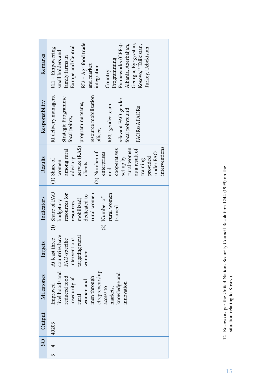| Remarks               | RI2 - Agrifood trade<br>Frameworks (CPFs):<br>Georgia, Kyrgyzstan,<br>Albania, Azerbaijan,<br>Kosovo, <sup>12</sup> Tajikistan,<br>Europe and Central<br>Turkey, Uzbekistan<br>RI1 - Empowering<br>small holders and<br>family farms in<br>Programming<br>and market<br>integration<br>Country |
|-----------------------|------------------------------------------------------------------------------------------------------------------------------------------------------------------------------------------------------------------------------------------------------------------------------------------------|
| Responsibility        | RI delivery managers,<br>resource mobilization<br>Strategic Programme<br>relevant FAO gender<br>service (RAS) programme teams,<br>REU gender team,<br>FAOR <sub>s</sub> /AFAOR <sub>s</sub><br>focal points and<br>focal points,<br>officer,                                                   |
| Results               | interventions<br>rural women<br>as a result of<br>cooperatives<br>among rural<br>(2) Number of<br>enterprises<br>under FAO<br>set up by<br>provided<br>advisory<br>$(1)$ Share of<br>training<br>women<br>clients<br>and                                                                       |
| Indicators            | (1) Share of FAO<br>rural women<br>resources (or<br>rural women<br>dedicated to<br>(2) Number of<br>mobilized)<br>budgetary<br>resources<br>trained                                                                                                                                            |
| Targets               | targeting rural<br>At least three<br>interventions<br>FAO-specific<br>women                                                                                                                                                                                                                    |
| Milestones            | ivelihoods and countries have<br>etrepreneurship,<br>knowledge and<br>reduced food<br>men through<br>insecurity of<br>women and<br>Improved<br>innovation<br>access to<br>markets,<br>rural                                                                                                    |
| Output                | 40203                                                                                                                                                                                                                                                                                          |
| $\overline{\text{S}}$ | 4                                                                                                                                                                                                                                                                                              |
|                       | 3                                                                                                                                                                                                                                                                                              |

| Kosovo as per the United Nations Security Council Resolution 1244 (1999) on the<br>$\overline{C}$<br>71 | $+122$ and $+12$ |
|---------------------------------------------------------------------------------------------------------|------------------|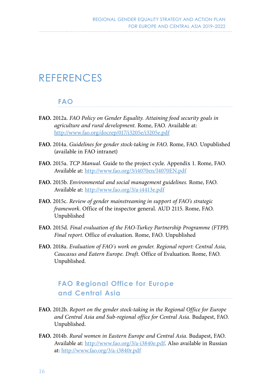## <span id="page-23-0"></span>**REFERENCES**

#### **FAO**

- **FAO.** 2012a. *FAO Policy on Gender Equality. Attaining food security goals in agriculture and rural development.* Rome, FAO. Available at: <http://www.fao.org/docrep/017/i3205e/i3205e.pdf>
- **FAO.** 2014a. *Guidelines for gender stock-taking in FAO*. Rome, FAO. Unpublished (available in FAO intranet)
- **FAO.** 2015a. *TCP Manual.* Guide to the project cycle. Appendix 1. Rome, FAO. Available at: <http://www.fao.org/3/i4070en/I4070EN.pdf>
- **FAO.** 2015b. *Environmental and social management guidelines.* Rome, FAO. Available at: <http://www.fao.org/3/a-i4413e.pdf>
- **FAO.** 2015c. *Review of gender mainstreaming in support of FAO's strategic framework*. Office of the inspector general. AUD 2115. Rome, FAO. Unpublished
- **FAO.** 2015d. *Final evaluation of the FAO-Turkey Partnership Programme (FTPP). Final report*. Office of evaluation. Rome, FAO. Unpublished
- **FAO.** 2018a. *Evaluation of FAO´s work on gender. Regional report: Central Asia, Caucasus and Eatern Europe. Draft.* Office of Evaluation. Rome, FAO. Unpublished.

#### **FAO Regional Office for Europe and Central Asia**

- **FAO.** 2012b. *Report on the gender stock-taking in the Regional Office for Europe and Central Asia and Sub-regional office for Central Asia.* Budapest, FAO. Unpublished.
- **FAO.** 2014b. *Rural women in Eastern Europe and Central Asia*. Budapest, FAO. Available at: <http://www.fao.org/3/a-i3840e.pdf>. Also available in Russian at: <http://www.fao.org/3/a-i3840r.pdf>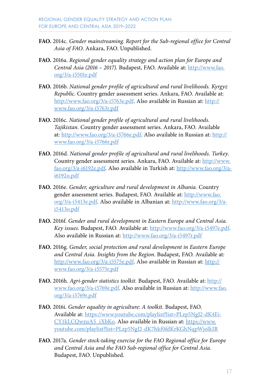- **FAO.** 2014c. *Gender mainstreaming. Report for the Sub-regional office for Central Asia of FAO*. Ankara, FAO. Unpublished.
- **FAO.** 2016a. *Regional gender equality strategy and action plan for Europe and Central Asia (2016 – 2017).* Budapest, FAO. Available at: [http://www.fao.](http://www.fao.org/3/a-i5501e.pdf) [org/3/a-i5501e.pdf](http://www.fao.org/3/a-i5501e.pdf)
- **FAO.** 2016b. *National gender profile of agricultural and rural livelihoods. Kyrgyz Republic*. Country gender assessment series. Ankara, FAO. Available at: [http://www.fao.org/3/a-i5763e.pdf.](http://www.fao.org/3/a-i5763e.pdf) Also available in Russian at: [http://](http://www.fao.org/3/a-i5763r.pdf) [www.fao.org/3/a-i5763r.pdf](http://www.fao.org/3/a-i5763r.pdf)
- **FAO.** 2016c. *National gender profile of agricultural and rural livelihoods. Tajikistan.* Country gender assessment series. Ankara, FAO. Available at: <http://www.fao.org/3/a-i5766e.pdf>. Also available in Russian at: [http://](http://www.fao.org/3/a-i5766r.pdf) [www.fao.org/3/a-i5766r.pdf](http://www.fao.org/3/a-i5766r.pdf)
- **FAO.** 2016d. *National gender profile of agricultural and rural livelihoods. Turkey*. Country gender assessment series. Ankara, FAO. Available at: [http://www.](http://www.fao.org/3/a-i6192e.pdf) [fao.org/3/a-i6192e.pdf.](http://www.fao.org/3/a-i6192e.pdf) Also available in Turkish at: [http://www.fao.org/3/a](http://www.fao.org/3/a-i6192o.pdf)[i6192o.pdf](http://www.fao.org/3/a-i6192o.pdf)
- **FAO.** 2016e. *Gender, agriculture and rural development in Albania.* Country gender assessment series. Budapest, FAO. Available at: [http://www.fao.](http://www.fao.org/3/a-i5413e.pdf) [org/3/a-i5413e.pdf.](http://www.fao.org/3/a-i5413e.pdf) Also available in Albanian at: [http://www.fao.org/3/a](http://www.fao.org/3/a-i5413o.pdf)[i5413o.pdf](http://www.fao.org/3/a-i5413o.pdf)
- **FAO.** 2016f. *Gender and rural development in Eastern Europe and Central Asia. Key issues*. Budapest, FAO. Available at: [http://www.fao.org/3/a-i5497e.pdf.](http://www.fao.org/3/a-i5497e.pdf) Also available in Russian at: <http://www.fao.org/3/a-i5497r.pdf>
- **FAO.** 2016g. *Gender, social protection and rural development in Eastern Europe and Central Asia. Insights from the Region*. Budapest, FAO. Available at: [http://www.fao.org/3/a-i5575e.pdf.](http://www.fao.org/3/a-i5575e.pdf) Also available in Russian at: [http://](http://www.fao.org/3/a-i5575r.pdf) [www.fao.org/3/a-i5575r.pdf](http://www.fao.org/3/a-i5575r.pdf)
- FAO. 2016h. *Agri-gender statistics toolkit*. Budapest, FAO. Available at: [http://](http://www.fao.org/3/a-i5769e.pdf) [www.fao.org/3/a-i5769e.pdf.](http://www.fao.org/3/a-i5769e.pdf) Also available in Russian at: [http://www.fao.](http://www.fao.org/3/a-i5769r.pdf) [org/3/a-i5769r.pdf](http://www.fao.org/3/a-i5769r.pdf)
- **FAO.** 2016i. *Gender equality in agriculture: A toolkit.* Budapest, FAO. Available at: [https://www.youtube.com/playlist?list=PLzp5NgJ2-dK4Ei-](https://www.youtube.com/playlist?list=PLzp5NgJ2-dK4Ei-CY1kLCQwzuA5_iXbKo)[CY1kLCQwzuA5\\_iXbKo.](https://www.youtube.com/playlist?list=PLzp5NgJ2-dK4Ei-CY1kLCQwzuA5_iXbKo) Also available in Russian at: [https://www.](https://www.youtube.com/playlist?list=PLzp5NgJ2-dK7hkf0fdKrKGhNqpWjolkIR) [youtube.com/playlist?list=PLzp5NgJ2-dK7hkf0fdKrKGhNqpWjolkIR](https://www.youtube.com/playlist?list=PLzp5NgJ2-dK7hkf0fdKrKGhNqpWjolkIR)
- **FAO.** 2017a. *Gender stock-taking exercise for the FAO Regional office for Europe and Central Asia and the FAO Sub-regional office for Central Asia.*  Budapest, FAO. Unpublished.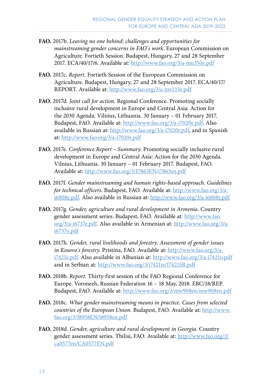- **FAO.** 2017b. *Leaving no one behind: challenges and opportunities for mainstreaming gender concerns in FAO´s work*. European Commission on Agriculture. Fortieth Session. Budapest, Hungary, 27 and 28 September 2017. ECA/40/17/6. Available at:<http://www.fao.org/3/a-mu350e.pdf>
- **FAO.** 2017c. *Report.* Fortieth Session of the European Commission on Agriculture. Budapest, Hungary, 27 and 28 September 2017. ECA/40/17/ REPORT. Available at: <http://www.fao.org/3/a-mv133e.pdf>
- **FAO.** 2017d. *Joint call for action*. Regional Conference. Promoting socially inclusive rural development in Europe and Central Asia: Action for the 2030 Agenda. Vilnius, Lithuania. 30 January – 01 February 2017. Budapest, FAO. Available at: [http://www.fao.org/3/a-i7020e.pdf.](http://www.fao.org/3/a-i7020e.pdf) Also available in Russian at: [http://www.fao.org/3/a-i7020r.pdf,](http://www.fao.org/3/a-i7020r.pdf) and in Spanish at: <http://www.fao.org/3/a-i7020s.pdf>
- **FAO.** 2017e. *Conference Report Summary.* Promoting socially inclusive rural development in Europe and Central Asia: Action for the 2030 Agenda. Vilnius, Lithuania. 30 January – 01 February 2017. Budapest, FAO. Available at: <http://www.fao.org/3/I7863EN/i7863en.pdf>
- **FAO.** 2017f. *Gender mainstreaming and human rights-based approach. Guidelines for technical officers*. Budapest, FAO. Available at: [http://www.fao.org/3/a](http://www.fao.org/3/a-i6808e.pdf)[i6808e.pdf.](http://www.fao.org/3/a-i6808e.pdf) Also available in Russian at: <http://www.fao.org/3/a-i6808r.pdf>
- **FAO.** 2017g. *Gender, agriculture and rural development in Armenia*. Country gender assessment series. Budapest, FAO. Available at: [http://www.fao.](http://www.fao.org/3/a-i6737e.pdf) [org/3/a-i6737e.pdf.](http://www.fao.org/3/a-i6737e.pdf) Also available in Armenian at: [http://www.fao.org/3/a](http://www.fao.org/3/a-i6737o.pdf)[i6737o.pdf](http://www.fao.org/3/a-i6737o.pdf)
- **FAO.** 2017h. *Gender, rural livelihoods and forestry. Assessment of gender issues in Kosovo´s forestry*. Pristina, FAO. Available at: [http://www.fao.org/3/a](http://www.fao.org/3/a-i7421e.pdf)[i7421e.pdf](http://www.fao.org/3/a-i7421e.pdf). Also available in Albanian at: <http://www.fao.org/3/a-i7421o.pdf> and in Serbian at: <http://www.fao.org/3/i7421sr/I7421SR.pdf>
- **FAO.** 2018b. *Report*. Thirty-first session of the FAO Regional Conference for Europe. Voronezh, Russian Federation 16 – 18 May, 2018. ERC/18/REP. Budapest, FAO. Available at: <http://www.fao.org/3/mw908en/mw908en.pdf>
- **FAO.** 2018c. *What gender mainstreaming means in practice. Cases from selected*  countries of the European Union. Budapest, FAO. Available at: [http://www.](http://www.fao.org/3/I8958EN/i8958en.pdf) [fao.org/3/I8958EN/i8958en.pdf](http://www.fao.org/3/I8958EN/i8958en.pdf)
- **FAO.** 2018d. *Gender, agriculture and rural development in Georgia.* Country gender assessment series. Tbilisi, FAO. Available at: [http://www.fao.org/3/](http://www.fao.org/3/ca0577en/CA0577EN.pdf) [ca0577en/CA0577EN.pdf](http://www.fao.org/3/ca0577en/CA0577EN.pdf)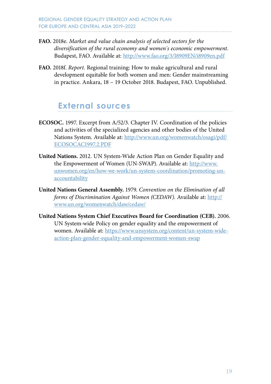- <span id="page-26-0"></span>**FAO.** 2018e. *Market and value chain analysis of selected sectors for the diversification of the rural economy and women´s economic empowerment.* Budapest, FAO. Available at: <http://www.fao.org/3/I8909EN/i8909en.pdf>
- **FAO.** 2018f. *Report.* Regional training: How to make agricultural and rural development equitable for both women and men: Gender mainstreaming in practice. Ankara, 18 – 19 October 2018. Budapest, FAO. Unpublished.

### **External sources**

- **ECOSOC.** 1997. Excerpt from A/52/3. Chapter IV. Coordination of the policies and activities of the specialized agencies and other bodies of the United Nations System. Available at: [http://www.un.org/womenwatch/osagi/pdf/](http://www.un.org/womenwatch/osagi/pdf/ECOSOCAC1997.2.PDF) [ECOSOCAC1997.2.PDF](http://www.un.org/womenwatch/osagi/pdf/ECOSOCAC1997.2.PDF)
- **United Nations.** 2012. UN System-Wide Action Plan on Gender Equality and the Empowerment of Women (UN-SWAP). Available at: [http://www.](http://www.unwomen.org/en/how-we-work/un-system-coordination/promoting-un-accountability) [unwomen.org/en/how-we-work/un-system-coordination/promoting-un](http://www.unwomen.org/en/how-we-work/un-system-coordination/promoting-un-accountability)[accountability](http://www.unwomen.org/en/how-we-work/un-system-coordination/promoting-un-accountability)
- **United Nations General Assembly.** 1979. *Convention on the Elimination of all forms of Discrimination Against Women (CEDAW).* Available at: [http://](http://www.un.org/womenwatch/daw/cedaw/) [www.un.org/womenwatch/daw/cedaw/](http://www.un.org/womenwatch/daw/cedaw/)
- **United Nations System Chief Executives Board for Coordination (CEB).** 2006. UN System-wide Policy on gender equality and the empowerment of women. Available at: [https://www.unsystem.org/content/un-system-wide](https://www.unsystem.org/content/un-system-wide-action-plan-gender-equality-and-empowerment-women-swap)[action-plan-gender-equality-and-empowerment-women-swap](https://www.unsystem.org/content/un-system-wide-action-plan-gender-equality-and-empowerment-women-swap)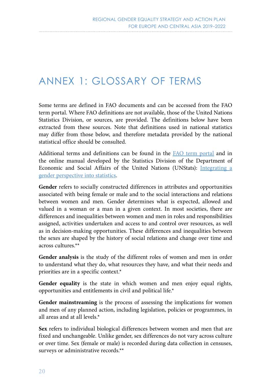# <span id="page-27-0"></span>Annex 1: Glossary of Terms

Some terms are defined in FAO documents and can be accessed from the FAO term portal. Where FAO definitions are not available, those of the United Nations Statistics Division, or sources, are provided. The definitions below have been extracted from these sources. Note that definitions used in national statistics may differ from those below, and therefore metadata provided by the national statistical office should be consulted.

Additional terms and definitions can be found in the [FAO term portal](http://www.fao.org/faoterm/en) and in the online manual developed by the Statistics Division of the Department of Economic and Social Affairs of the United Nations (UNStats): [Integrating a](https://unstats.un.org/unsd/demographic-social/Standards-and-Methods/files/Handbooks/gender/Integrating-a-Gender-Perspective-into-Statistics-E.pdf) [gender perspective into statistics.](https://unstats.un.org/unsd/demographic-social/Standards-and-Methods/files/Handbooks/gender/Integrating-a-Gender-Perspective-into-Statistics-E.pdf)

**Gender** refers to socially constructed differences in attributes and opportunities associated with being female or male and to the social interactions and relations between women and men. Gender determines what is expected, allowed and valued in a woman or a man in a given context. In most societies, there are differences and inequalities between women and men in roles and responsibilities assigned, activities undertaken and access to and control over resources, as well as in decision-making opportunities. These differences and inequalities between the sexes are shaped by the history of social relations and change over time and across cultures<sup>\*\*</sup>

**Gender analysis** is the study of the different roles of women and men in order to understand what they do, what resources they have, and what their needs and priorities are in a specific context.\*

**Gender equality** is the state in which women and men enjoy equal rights, opportunities and entitlements in civil and political life.\*

**Gender mainstreaming** is the process of assessing the implications for women and men of any planned action, including legislation, policies or programmes, in all areas and at all levels.\*

**Sex** refers to individual biological differences between women and men that are fixed and unchangeable. Unlike gender, sex differences do not vary across culture or over time. Sex (female or male) is recorded during data collection in censuses, surveys or administrative records.\*\*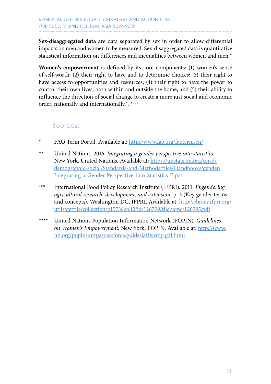**Sex-disaggregated data** are data separated by sex in order to allow differential impacts on men and women to be measured. Sex-disaggregated data is quantitative statistical information on differences and inequalities between women and men.\*

**Women's empowerment** is defined by its core components: (1) women's sense of self-worth; (2) their right to have and to determine choices; (3) their right to have access to opportunities and resources; (4) their right to have the power to control their own lives, both within and outside the home; and (5) their ability to influence the direction of social change to create a more just social and economic order, nationally and internationally.\*, \*\*\*\*

#### Sources:

- \* FAO Term Portal. Available at: <http://www.fao.org/faoterm/en/>
- \*\* United Nations. 2016. *Integrating a gender perspective into statistics.*  New York, United Nations. Available at: [https://unstats.un.org/unsd/](https://unstats.un.org/unsd/demographic-social/Standards-and-Methods/files/Handbooks/gender/Integrating-a-Gender-Perspective-into-Statistics-E.pdf) [demographic-social/Standards-and-Methods/files/Handbooks/gender/](https://unstats.un.org/unsd/demographic-social/Standards-and-Methods/files/Handbooks/gender/Integrating-a-Gender-Perspective-into-Statistics-E.pdf) [Integrating-a-Gender-Perspective-into-Statistics-E.pdf](https://unstats.un.org/unsd/demographic-social/Standards-and-Methods/files/Handbooks/gender/Integrating-a-Gender-Perspective-into-Statistics-E.pdf)
- \*\*\* International Food Policy Research Institute (IFPRI). 2011. *Engendering agricultural research, development, and extension*. p. 3 (Key gender terms and concepts). Washington DC, IFPRI. Available at: [http://ebrary.ifpri.org/](http://ebrary.ifpri.org/utils/getfile/collection/p15738coll2/id/126799/filename/126995.pdf) [utils/getfile/collection/p15738coll2/id/126799/filename/126995.pdf](http://ebrary.ifpri.org/utils/getfile/collection/p15738coll2/id/126799/filename/126995.pdf)
- \*\*\*\* United Nations Population Information Network (POPIN). *Guidelines on Women's Empowerment*. New York, POPIN. Available at: [http://www.](http://www.un.org/popin/unfpa/taskforce/guide/iatfwemp.gdl.html) [un.org/popin/unfpa/taskforce/guide/iatfwemp.gdl.html](http://www.un.org/popin/unfpa/taskforce/guide/iatfwemp.gdl.html)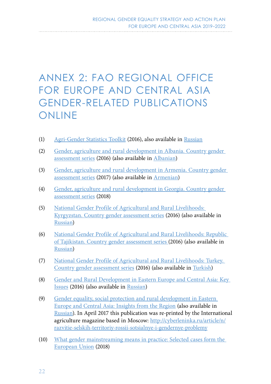# <span id="page-29-0"></span>Annex 2: FAO Regional Office for Europe and Central Asia gender-related publications **ONLINE**

- (1) [Agri-Gender Statistics Toolkit](http://www.fao.org/3/a-i5769e.pdf) (2016), also available in [Russian](http://www.fao.org/3/a-i5769r.pdf)
- (2) [Gender, agriculture and rural development in Albania. Country gender](http://www.fao.org/3/a-i5413e.pdf)  [assessment series](http://www.fao.org/3/a-i5413e.pdf) (2016) (also available in [Albanian](http://www.fao.org/3/a-i5413o.pdf))
- (3) [Gender, agriculture and rural development in Armenia. Country gender](http://www.fao.org/3/a-i6737e.pdf)  [assessment series](http://www.fao.org/3/a-i6737e.pdf) (2017) (also available in [Armenian\)](http://www.fao.org/3/a-i6737o.pdf)
- (4) [Gender, agriculture and rural development in Georgia. Country gender](http://www.fao.org/documents/card/en/c/CA0577EN)  [assessment series](http://www.fao.org/documents/card/en/c/CA0577EN) (2018)
- (5) [National Gender Profile of Agricultural and Rural Livelihoods:](http://www.fao.org/3/a-i5769r.pdf)  [Kyrgyzstan. Country gender assessment series](http://www.fao.org/3/a-i5769r.pdf) (2016) (also available in [Russian](http://www.fao.org/3/a-i5763r.pdf))
- (6) [National Gender Profile of Agricultural and Rural Livelihoods: Republic](http://www.fao.org/3/a-i5766e.pdf)  [of Tajikistan. Country gender assessment series \(](http://www.fao.org/3/a-i5766e.pdf)2016) (also available in [Russian](http://www.fao.org/3/a-i5766r.pdf))
- (7) [National Gender Profile of Agricultural and Rural Livelihoods: Turkey.](http://www.fao.org/3/a-i6192e.pdf)  [Country gender assessment series](http://www.fao.org/3/a-i6192e.pdf) (2016) (also available in [Turkish\)](http://www.fao.org/3/a-i6192o.pdf)
- (8) [Gender and Rural Development in Eastern Europe and Central Asia: Key](http://www.fao.org/3/a-i5497e.pdf)  [Issues](http://www.fao.org/3/a-i5497e.pdf) (2016) (also available in [Russian](http://www.fao.org/3/a-i5497r.pdf))
- (9) [Gender equality, social protection and rural development in Eastern](http://www.fao.org/3/a-i5575e.pdf)  [Europe and Central Asia: Insights from the Region](http://www.fao.org/3/a-i5575e.pdf) (also available in [Russian](http://www.fao.org/3/a-i5575r.pdf)). In April 2017 this publication was re-printed by the International agriculture magazine based in Moscow: [http://cyberleninka.ru/article/n/](http://cyberleninka.ru/article/n/razvitie-selskih-territoriy-rossii-sotsialnye-i-gendernye-problemy) [razvitie-selskih-territoriy-rossii-sotsialnye-i-gendernye-problemy](http://cyberleninka.ru/article/n/razvitie-selskih-territoriy-rossii-sotsialnye-i-gendernye-problemy)
- (10) [What gender mainstreaming means in practice: Selected cases form the](http://www.fao.org/3/I8958EN/i8958en.pdf)  [European Union](http://www.fao.org/3/I8958EN/i8958en.pdf) (2018)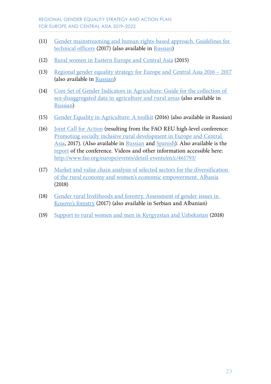- (11) [Gender mainstreaming and human rights-based approach. Guidelines for](http://www.fao.org/3/a-i6808e.pdf)  [technical officers](http://www.fao.org/3/a-i6808e.pdf) (2017) (also available in [Russian\)](http://www.fao.org/3/a-i6808r.pdf)
- (12) [Rural women in Eastern Europe and Central Asia](http://www.fao.org/3/a-i3840e.pdf) (2015)
- (13) [Regional gender equality strategy for Europe and Central Asia 2016 2017](http://www.fao.org/3/a-i5501e.pdf) (also available in [Russian\)](http://www.fao.org/3/a-i5501r.pdf)
- (14) [Core Set of Gender Indicators in Agriculture: Guide for the collection of](http://www.fao.org/documents/card/en/c/7bf039ca-5a61-4629-bbe5-593d9a8d5d86/)  [sex-disaggregated data in agriculture and rural areas](http://www.fao.org/documents/card/en/c/7bf039ca-5a61-4629-bbe5-593d9a8d5d86/) (also available in [Russian](http://www.fao.org/documents/card/en/c/262c93e0-e5d6-4d78-ab09-cc09866b1207))
- (15) [Gender Equality in Agriculture: A toolkit](https://www.youtube.com/playlist?list=PLzp5NgJ2-dK4Ei-CY1kLCQwzuA5_iXbKo) (2016) (also available in Russian)
- (16) [Joint Call for Action](http://www.fao.org/3/a-i7020e.pdf) (resulting from the FAO REU high-level conference: [Promoting socially inclusive rural development in Europe and Central](http://www.fao.org/europe/events/detail-events/en/c/461793/)  [Asia](http://www.fao.org/europe/events/detail-events/en/c/461793/), 2017). (Also available in [Russian](http://www.fao.org/3/a-i7020r.pdf) and [Spanish](http://www.fao.org/3/a-i7020s.pdf)). Also available is the [report](http://www.fao.org/3/I7863EN/i7863en.pdf) of the conference. Videos and other information accessible here: <http://www.fao.org/europe/events/detail-events/en/c/461793/>
- (17) [Market and value chain analysis of selected sectors for the diversification](http://www.fao.org/3/I8909EN/i8909en.pdf)  [of the rural economy and women's economic empowerment. Albania](http://www.fao.org/3/I8909EN/i8909en.pdf) (2018)
- (18) [Gender rural livelihoods and forestry. Assessment of gender issues in](http://www.fao.org/3/a-i7421e.pdf)  [Kosovo's forestry](http://www.fao.org/3/a-i7421e.pdf) (2017) (also available in Serbian and Albanian)
- (19) [Support to rural women and men in Kyrgyzstan and Uzbekistan](https://s3.amazonaws.com/online.fliphtml5.com/olhw/weau/index.html) (2018)